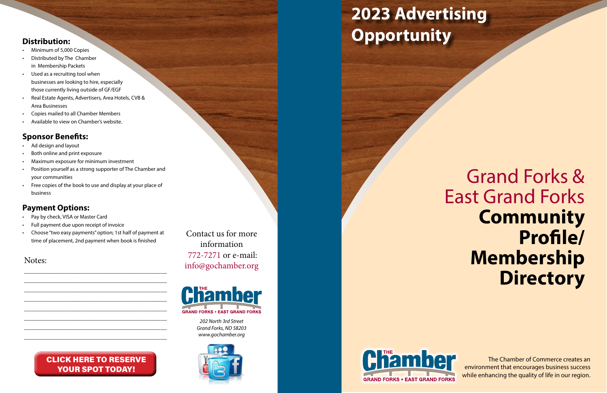

*701-772-7271 202 North 3rd Street info@gochamber.org [Grand Forks, ND 58203](mailto:info@gochamber.org) <www.gochamber.org>*



### **The Ten Reasons Inc. To Join The 2023 Advertising Distribution: Opportunity**

**Chamber** 



Contact us for more information 772-7271 or e-mail: [info@gochamber.org](mailto:info@gochamber.org)

- Minimum of 5,000 Copies
- Distributed by The Chamber in Membership Packets
- Used as a recruiting tool when businesses are looking to hire, especially those currently living outside of GF/EGF
- Real Estate Agents, Advertisers, Area Hotels, CVB & Area Businesses
- Copies mailed to all Chamber Members
- Available to view on Chamber's website.

- Pay by check, VISA or Master Card
- Full payment due upon receipt of invoice
- Choose "two easy payments" option; 1st half of payment at time of placement, 2nd payment when book is finished

### **Sponsor Benefits:**

The Chamber of Commerce creates an environment that encourages business success while enhancing the quality of life in our region.

- Ad design and layout
- Both online and print exposure
- Maximum exposure for minimum investment
- Position yourself as a strong supporter of The Chamber and your communities
- Free copies of the book to use and display at your place of business

#### [CLICK HERE TO RESERVE](https://www.chamberorganizer.com/members/evr/reg_event.php?orgcode=TCGF&evid=64685027)  YOUR SPOT TODAY!

### **Payment Options:**

Notes:

\_\_\_\_\_\_\_\_\_\_\_\_\_\_\_\_\_\_\_\_\_\_\_\_\_\_\_\_\_\_\_\_\_\_\_\_\_\_\_\_\_\_\_\_\_\_\_\_ \_\_\_\_\_\_\_\_\_\_\_\_\_\_\_\_\_\_\_\_\_\_\_\_\_\_\_\_\_\_\_\_\_\_\_\_\_\_\_\_\_\_\_\_\_\_\_\_ \_\_\_\_\_\_\_\_\_\_\_\_\_\_\_\_\_\_\_\_\_\_\_\_\_\_\_\_\_\_\_\_\_\_\_\_\_\_\_\_\_\_\_\_\_\_\_\_ \_\_\_\_\_\_\_\_\_\_\_\_\_\_\_\_\_\_\_\_\_\_\_\_\_\_\_\_\_\_\_\_\_\_\_\_\_\_\_\_\_\_\_\_\_\_\_\_ \_\_\_\_\_\_\_\_\_\_\_\_\_\_\_\_\_\_\_\_\_\_\_\_\_\_\_\_\_\_\_\_\_\_\_\_\_\_\_\_\_\_\_\_\_\_\_\_ \_\_\_\_\_\_\_\_\_\_\_\_\_\_\_\_\_\_\_\_\_\_\_\_\_\_\_\_\_\_\_\_\_\_\_\_\_\_\_\_\_\_\_\_\_\_\_\_ \_\_\_\_\_\_\_\_\_\_\_\_\_\_\_\_\_\_\_\_\_\_\_\_\_\_\_\_\_\_\_\_\_\_\_\_\_\_\_\_\_\_\_\_\_\_\_\_ \_\_\_\_\_\_\_\_\_\_\_\_\_\_\_\_\_\_\_\_\_\_\_\_\_\_\_\_\_\_\_\_\_\_\_\_\_\_\_\_\_\_\_\_\_\_\_\_

# Grand Forks & East Grand Forks **Community Profile/ Membership Directory**